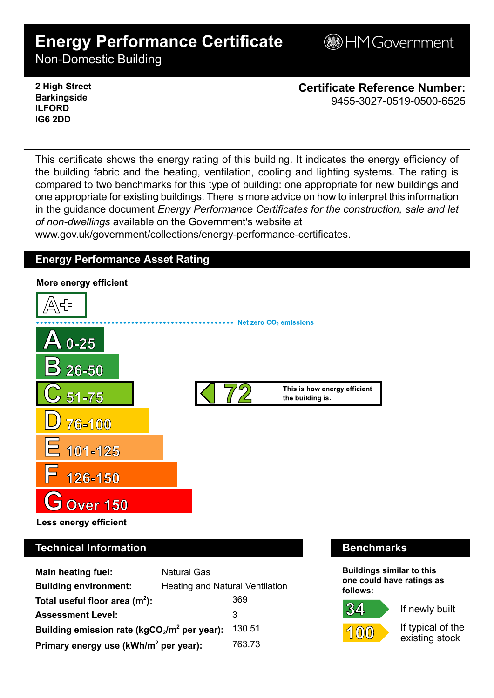# **Energy Performance Certificate**

**BHM Government** 

Non-Domestic Building

**2 High Street Barkingside ILFORD IG6 2DD**

**Certificate Reference Number:** 9455-3027-0519-0500-6525

This certificate shows the energy rating of this building. It indicates the energy efficiency of the building fabric and the heating, ventilation, cooling and lighting systems. The rating is compared to two benchmarks for this type of building: one appropriate for new buildings and one appropriate for existing buildings. There is more advice on how to interpret this information in the guidance document *Energy Performance Certificates for the construction, sale and let of non-dwellings* available on the Government's website at

www.gov.uk/government/collections/energy-performance-certificates.

## **Energy Performance Asset Rating**



# **Technical Information Benchmarks**

| <b>Main heating fuel:</b>                         | <b>Natural Gas</b>                     |        |
|---------------------------------------------------|----------------------------------------|--------|
| <b>Building environment:</b>                      | <b>Heating and Natural Ventilation</b> |        |
| Total useful floor area $(m2)$ :                  |                                        | 369    |
| <b>Assessment Level:</b>                          |                                        | 3      |
| Building emission rate ( $kgCO2/m2$ per year):    |                                        | 130.51 |
| Primary energy use (kWh/m <sup>2</sup> per year): |                                        | 763.73 |

**Buildings similar to this one could have ratings as follows:**

If newly built



34

If typical of the existing stock